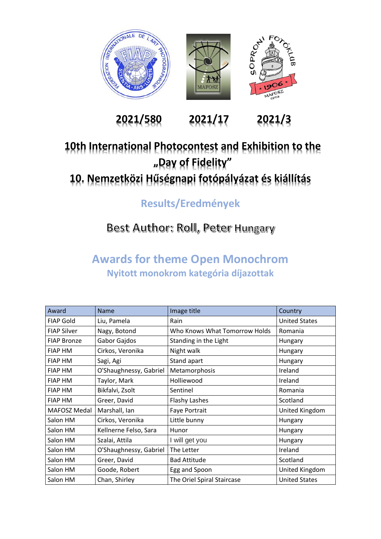

**2021/580 2021/17 2021/3**

### **10th International Photocontest and Exhibition to the "Day of Fidelity" 10. Nemzetközi Hűségnapi fotópályázat és kiállítás**

**Results/Eredmények**

### Best Author: Roll, Peter Hungary

#### **Awards for theme Open Monochrom Nyitott monokrom kategória díjazottak**

| Award              | Name                   | Image title                   | Country              |
|--------------------|------------------------|-------------------------------|----------------------|
| <b>FIAP Gold</b>   | Liu, Pamela            | Rain                          | <b>United States</b> |
| <b>FIAP Silver</b> | Nagy, Botond           | Who Knows What Tomorrow Holds | Romania              |
| <b>FIAP Bronze</b> | Gabor Gajdos           | Standing in the Light         | Hungary              |
| <b>FIAP HM</b>     | Cirkos, Veronika       | Night walk                    | Hungary              |
| <b>FIAP HM</b>     | Sagi, Agi              | Stand apart                   | Hungary              |
| <b>FIAP HM</b>     | O'Shaughnessy, Gabriel | Metamorphosis                 | Ireland              |
| <b>FIAP HM</b>     | Taylor, Mark           | Holliewood                    | Ireland              |
| <b>FIAP HM</b>     | Bikfalvi, Zsolt        | Sentinel                      | Romania              |
| <b>FIAP HM</b>     | Greer, David           | <b>Flashy Lashes</b>          | Scotland             |
| MAFOSZ Medal       | Marshall, Ian          | Faye Portrait                 | United Kingdom       |
| Salon HM           | Cirkos, Veronika       | Little bunny                  | Hungary              |
| Salon HM           | Kellnerne Felso, Sara  | Hunor                         | Hungary              |
| Salon HM           | Szalai, Attila         | I will get you                | Hungary              |
| Salon HM           | O'Shaughnessy, Gabriel | The Letter                    | Ireland              |
| Salon HM           | Greer, David           | <b>Bad Attitude</b>           | Scotland             |
| Salon HM           | Goode, Robert          | Egg and Spoon                 | United Kingdom       |
| Salon HM           | Chan, Shirley          | The Oriel Spiral Staircase    | <b>United States</b> |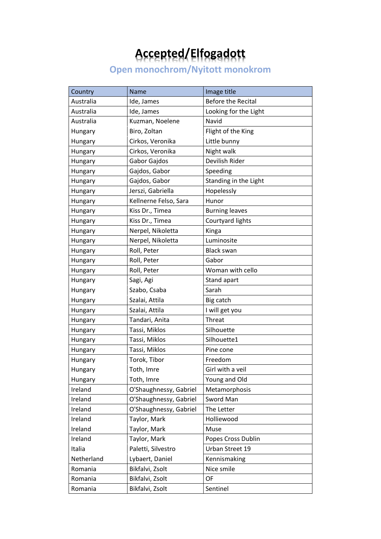## **Accepted/Elfogadott**

**Open monochrom/Nyitott monokrom**

| Country    | Name                   | Image title               |
|------------|------------------------|---------------------------|
| Australia  | Ide, James             | <b>Before the Recital</b> |
| Australia  | Ide, James             | Looking for the Light     |
| Australia  | Kuzman, Noelene        | Navid                     |
| Hungary    | Biro, Zoltan           | Flight of the King        |
| Hungary    | Cirkos, Veronika       | Little bunny              |
| Hungary    | Cirkos, Veronika       | Night walk                |
| Hungary    | Gabor Gajdos           | Devilish Rider            |
| Hungary    | Gajdos, Gabor          | Speeding                  |
| Hungary    | Gajdos, Gabor          | Standing in the Light     |
| Hungary    | Jerszi, Gabriella      | Hopelessly                |
| Hungary    | Kellnerne Felso, Sara  | Hunor                     |
| Hungary    | Kiss Dr., Timea        | <b>Burning leaves</b>     |
| Hungary    | Kiss Dr., Timea        | Courtyard lights          |
| Hungary    | Nerpel, Nikoletta      | Kinga                     |
| Hungary    | Nerpel, Nikoletta      | Luminosite                |
| Hungary    | Roll, Peter            | <b>Black swan</b>         |
| Hungary    | Roll, Peter            | Gabor                     |
| Hungary    | Roll, Peter            | Woman with cello          |
| Hungary    | Sagi, Agi              | Stand apart               |
| Hungary    | Szabo, Csaba           | Sarah                     |
| Hungary    | Szalai, Attila         | Big catch                 |
| Hungary    | Szalai, Attila         | I will get you            |
| Hungary    | Tandari, Anita         | Threat                    |
| Hungary    | Tassi, Miklos          | Silhouette                |
| Hungary    | Tassi, Miklos          | Silhouette1               |
| Hungary    | Tassi, Miklos          | Pine cone                 |
| Hungary    | Torok, Tibor           | Freedom                   |
| Hungary    | Toth, Imre             | Girl with a veil          |
| Hungary    | Toth, Imre             | Young and Old             |
| Ireland    | O'Shaughnessy, Gabriel | Metamorphosis             |
| Ireland    | O'Shaughnessy, Gabriel | Sword Man                 |
| Ireland    | O'Shaughnessy, Gabriel | The Letter                |
| Ireland    | Taylor, Mark           | Holliewood                |
| Ireland    | Taylor, Mark           | Muse                      |
| Ireland    | Taylor, Mark           | Popes Cross Dublin        |
| Italia     | Paletti, Silvestro     | Urban Street 19           |
| Netherland | Lybaert, Daniel        | Kennismaking              |
| Romania    | Bikfalvi, Zsolt        | Nice smile                |
| Romania    | Bikfalvi, Zsolt        | OF                        |
| Romania    | Bikfalvi, Zsolt        | Sentinel                  |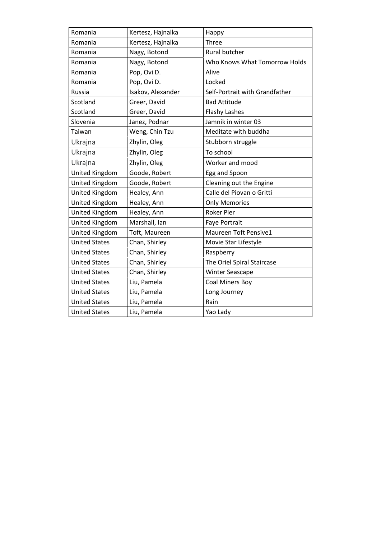| Romania               | Kertesz, Hajnalka | Happy                          |
|-----------------------|-------------------|--------------------------------|
| Romania               | Kertesz, Hajnalka | Three                          |
| Romania               | Nagy, Botond      | Rural butcher                  |
| Romania               | Nagy, Botond      | Who Knows What Tomorrow Holds  |
| Romania               | Pop, Ovi D.       | Alive                          |
| Romania               | Pop, Ovi D.       | Locked                         |
| Russia                | Isakov, Alexander | Self-Portrait with Grandfather |
| Scotland              | Greer, David      | <b>Bad Attitude</b>            |
| Scotland              | Greer, David      | <b>Flashy Lashes</b>           |
| Slovenia              | Janez, Podnar     | Jamnik in winter 03            |
| Taiwan                | Weng, Chin Tzu    | Meditate with buddha           |
| Ukrajna               | Zhylin, Oleg      | Stubborn struggle              |
| Ukrajna               | Zhylin, Oleg      | To school                      |
| Ukrajna               | Zhylin, Oleg      | Worker and mood                |
| United Kingdom        | Goode, Robert     | Egg and Spoon                  |
| United Kingdom        | Goode, Robert     | Cleaning out the Engine        |
| United Kingdom        | Healey, Ann       | Calle del Piovan o Gritti      |
| <b>United Kingdom</b> | Healey, Ann       | <b>Only Memories</b>           |
| <b>United Kingdom</b> | Healey, Ann       | <b>Roker Pier</b>              |
| United Kingdom        | Marshall, Ian     | Faye Portrait                  |
| United Kingdom        | Toft, Maureen     | <b>Maureen Toft Pensive1</b>   |
| <b>United States</b>  | Chan, Shirley     | Movie Star Lifestyle           |
| <b>United States</b>  | Chan, Shirley     | Raspberry                      |
| <b>United States</b>  | Chan, Shirley     | The Oriel Spiral Staircase     |
| <b>United States</b>  | Chan, Shirley     | <b>Winter Seascape</b>         |
| <b>United States</b>  | Liu, Pamela       | Coal Miners Boy                |
| <b>United States</b>  | Liu, Pamela       | Long Journey                   |
| <b>United States</b>  | Liu, Pamela       | Rain                           |
| <b>United States</b>  | Liu, Pamela       | Yao Lady                       |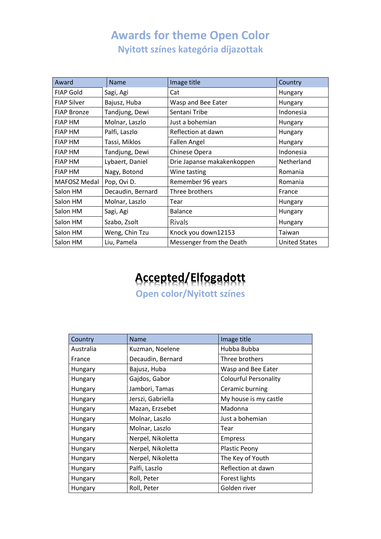#### **Awards for theme Open Color Nyitott színes kategória díjazottak**

| Award              | Name              | Image title                | Country              |
|--------------------|-------------------|----------------------------|----------------------|
| <b>FIAP Gold</b>   | Sagi, Agi         | Cat                        | Hungary              |
| <b>FIAP Silver</b> | Bajusz, Huba      | Wasp and Bee Eater         | Hungary              |
| <b>FIAP Bronze</b> | Tandjung, Dewi    | Sentani Tribe              | Indonesia            |
| <b>FIAP HM</b>     | Molnar, Laszlo    | Just a bohemian            | Hungary              |
| <b>FIAP HM</b>     | Palfi, Laszlo     | Reflection at dawn         | Hungary              |
| <b>FIAP HM</b>     | Tassi, Miklos     | <b>Fallen Angel</b>        | Hungary              |
| <b>FIAP HM</b>     | Tandjung, Dewi    | Chinese Opera              | Indonesia            |
| <b>FIAP HM</b>     | Lybaert, Daniel   | Drie Japanse makakenkoppen | Netherland           |
| <b>FIAP HM</b>     | Nagy, Botond      | Wine tasting               | Romania              |
| MAFOSZ Medal       | Pop, Ovi D.       | Remember 96 years          | Romania              |
| Salon HM           | Decaudin, Bernard | Three brothers             | France               |
| Salon HM           | Molnar, Laszlo    | Tear                       | Hungary              |
| Salon HM           | Sagi, Agi         | <b>Balance</b>             | Hungary              |
| Salon HM           | Szabo, Zsolt      | <b>Rivals</b>              | Hungary              |
| Salon HM           | Weng, Chin Tzu    | Knock you down12153        | Taiwan               |
| Salon HM           | Liu, Pamela       | Messenger from the Death   | <b>United States</b> |

# **Accepted/Elfogadott**

**Open color/Nyitott színes** 

| Country   | <b>Name</b>       | Image title                  |
|-----------|-------------------|------------------------------|
| Australia | Kuzman, Noelene   | Hubba Bubba                  |
| France    | Decaudin, Bernard | Three brothers               |
| Hungary   | Bajusz, Huba      | Wasp and Bee Eater           |
| Hungary   | Gajdos, Gabor     | <b>Colourful Personality</b> |
| Hungary   | Jambori, Tamas    | Ceramic burning              |
| Hungary   | Jerszi, Gabriella | My house is my castle        |
| Hungary   | Mazan, Erzsebet   | Madonna                      |
| Hungary   | Molnar, Laszlo    | Just a bohemian              |
| Hungary   | Molnar, Laszlo    | Tear                         |
| Hungary   | Nerpel, Nikoletta | <b>Empress</b>               |
| Hungary   | Nerpel, Nikoletta | Plastic Peony                |
| Hungary   | Nerpel, Nikoletta | The Key of Youth             |
| Hungary   | Palfi, Laszlo     | Reflection at dawn           |
| Hungary   | Roll, Peter       | Forest lights                |
| Hungary   | Roll, Peter       | Golden river                 |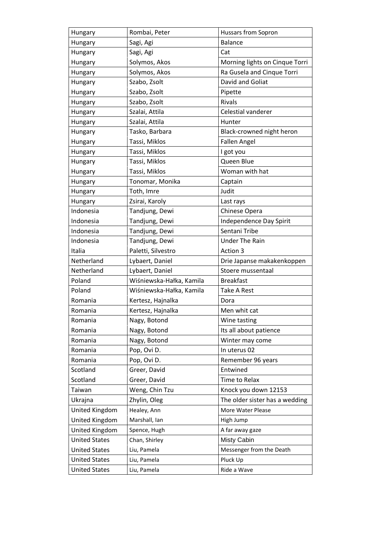| Hungary              | Rombai, Peter            | Hussars from Sopron            |
|----------------------|--------------------------|--------------------------------|
| Hungary              | Sagi, Agi                | <b>Balance</b>                 |
| Hungary              | Sagi, Agi                | Cat                            |
| Hungary              | Solymos, Akos            | Morning lights on Cinque Torri |
| Hungary              | Solymos, Akos            | Ra Gusela and Cinque Torri     |
| Hungary              | Szabo, Zsolt             | David and Goliat               |
| Hungary              | Szabo, Zsolt             | Pipette                        |
| Hungary              | Szabo, Zsolt             | Rivals                         |
| Hungary              | Szalai, Attila           | Celestial vanderer             |
| Hungary              | Szalai, Attila           | Hunter                         |
| Hungary              | Tasko, Barbara           | Black-crowned night heron      |
| Hungary              | Tassi, Miklos            | <b>Fallen Angel</b>            |
| Hungary              | Tassi, Miklos            | I got you                      |
| Hungary              | Tassi, Miklos            | Queen Blue                     |
| Hungary              | Tassi, Miklos            | Woman with hat                 |
| Hungary              | Tonomar, Monika          | Captain                        |
| Hungary              | Toth, Imre               | Judit                          |
| Hungary              | Zsirai, Karoly           | Last rays                      |
| Indonesia            | Tandjung, Dewi           | Chinese Opera                  |
| Indonesia            | Tandjung, Dewi           | Independence Day Spirit        |
| Indonesia            | Tandjung, Dewi           | Sentani Tribe                  |
| Indonesia            | Tandjung, Dewi           | <b>Under The Rain</b>          |
| Italia               | Paletti, Silvestro       | Action 3                       |
| Netherland           | Lybaert, Daniel          | Drie Japanse makakenkoppen     |
| Netherland           | Lybaert, Daniel          | Stoere mussentaal              |
| Poland               | Wiśniewska-Hałka, Kamila | <b>Breakfast</b>               |
| Poland               | Wiśniewska-Hałka, Kamila | Take A Rest                    |
| Romania              | Kertesz, Hajnalka        | Dora                           |
| Romania              | Kertesz, Hajnalka        | Men whit cat                   |
| Romania              | Nagy, Botond             | Wine tasting                   |
| Romania              | Nagy, Botond             | Its all about patience         |
| Romania              | Nagy, Botond             | Winter may come                |
| Romania              | Pop, Ovi D.              | In uterus 02                   |
| Romania              | Pop, Ovi D.              | Remember 96 years              |
| Scotland             | Greer, David             | Entwined                       |
| Scotland             | Greer, David             | Time to Relax                  |
| Taiwan               | Weng, Chin Tzu           | Knock you down 12153           |
| Ukrajna              | Zhylin, Oleg             | The older sister has a wedding |
| United Kingdom       | Healey, Ann              | More Water Please              |
| United Kingdom       | Marshall, Ian            | High Jump                      |
| United Kingdom       | Spence, Hugh             | A far away gaze                |
| <b>United States</b> | Chan, Shirley            | Misty Cabin                    |
| <b>United States</b> | Liu, Pamela              | Messenger from the Death       |
| <b>United States</b> | Liu, Pamela              | Pluck Up                       |
| <b>United States</b> | Liu, Pamela              | Ride a Wave                    |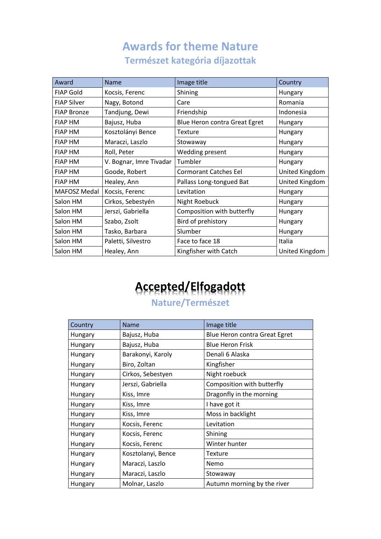#### **Awards for theme Nature Természet kategória díjazottak**

| Award              | <b>Name</b>             | Image title                   | Country        |
|--------------------|-------------------------|-------------------------------|----------------|
| <b>FIAP Gold</b>   | Kocsis, Ferenc          | Shining                       | Hungary        |
| <b>FIAP Silver</b> | Nagy, Botond            | Care                          | Romania        |
| <b>FIAP Bronze</b> | Tandjung, Dewi          | Friendship                    | Indonesia      |
| <b>FIAP HM</b>     | Bajusz, Huba            | Blue Heron contra Great Egret | Hungary        |
| <b>FIAP HM</b>     | Kosztolányi Bence       | <b>Texture</b>                | Hungary        |
| <b>FIAP HM</b>     | Maraczi, Laszlo         | Stowaway                      | Hungary        |
| <b>FIAP HM</b>     | Roll, Peter             | Wedding present               | Hungary        |
| <b>FIAP HM</b>     | V. Bognar, Imre Tivadar | Tumbler                       | Hungary        |
| <b>FIAP HM</b>     | Goode, Robert           | <b>Cormorant Catches Eel</b>  | United Kingdom |
| <b>FIAP HM</b>     | Healey, Ann             | Pallass Long-tongued Bat      | United Kingdom |
| MAFOSZ Medal       | Kocsis, Ferenc          | Levitation                    | Hungary        |
| Salon HM           | Cirkos, Sebestyén       | Night Roebuck                 | Hungary        |
| Salon HM           | Jerszi, Gabriella       | Composition with butterfly    | Hungary        |
| Salon HM           | Szabo, Zsolt            | Bird of prehistory            | Hungary        |
| Salon HM           | Tasko, Barbara          | Slumber                       | Hungary        |
| Salon HM           | Paletti, Silvestro      | Face to face 18               | Italia         |
| Salon HM           | Healey, Ann             | Kingfisher with Catch         | United Kingdom |

### **Accepted/Elfogadott**

#### **Nature/Természet**

| Country | <b>Name</b>        | Image title                   |
|---------|--------------------|-------------------------------|
| Hungary | Bajusz, Huba       | Blue Heron contra Great Egret |
| Hungary | Bajusz, Huba       | <b>Blue Heron Frisk</b>       |
| Hungary | Barakonyi, Karoly  | Denali 6 Alaska               |
| Hungary | Biro, Zoltan       | Kingfisher                    |
| Hungary | Cirkos, Sebestyen  | Night roebuck                 |
| Hungary | Jerszi, Gabriella  | Composition with butterfly    |
| Hungary | Kiss, Imre         | Dragonfly in the morning      |
| Hungary | Kiss, Imre         | I have got it                 |
| Hungary | Kiss, Imre         | Moss in backlight             |
| Hungary | Kocsis, Ferenc     | Levitation                    |
| Hungary | Kocsis, Ferenc     | Shining                       |
| Hungary | Kocsis, Ferenc     | Winter hunter                 |
| Hungary | Kosztolanyi, Bence | Texture                       |
| Hungary | Maraczi, Laszlo    | Nemo                          |
| Hungary | Maraczi, Laszlo    | Stowaway                      |
| Hungary | Molnar, Laszlo     | Autumn morning by the river   |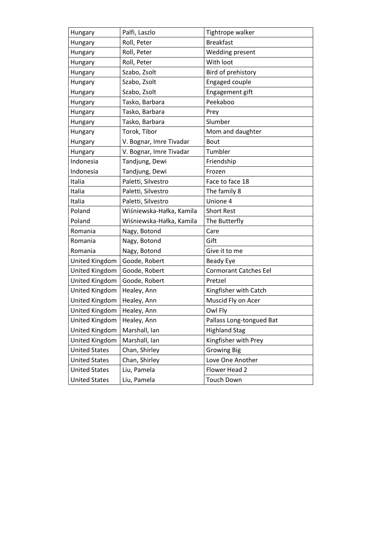| Hungary               | Palfi, Laszlo            | Tightrope walker             |
|-----------------------|--------------------------|------------------------------|
| Hungary               | Roll, Peter              | <b>Breakfast</b>             |
| Hungary               | Roll, Peter              | Wedding present              |
| Hungary               | Roll, Peter              | With loot                    |
| Hungary               | Szabo, Zsolt             | Bird of prehistory           |
| Hungary               | Szabo, Zsolt             | Engaged couple               |
| Hungary               | Szabo, Zsolt             | Engagement gift              |
| Hungary               | Tasko, Barbara           | Peekaboo                     |
| Hungary               | Tasko, Barbara           | Prey                         |
| Hungary               | Tasko, Barbara           | Slumber                      |
| Hungary               | Torok, Tibor             | Mom and daughter             |
| Hungary               | V. Bognar, Imre Tivadar  | <b>Bout</b>                  |
| Hungary               | V. Bognar, Imre Tivadar  | Tumbler                      |
| Indonesia             | Tandjung, Dewi           | Friendship                   |
| Indonesia             | Tandjung, Dewi           | Frozen                       |
| Italia                | Paletti, Silvestro       | Face to face 18              |
| Italia                | Paletti, Silvestro       | The family 8                 |
| Italia                | Paletti, Silvestro       | Unione 4                     |
| Poland                | Wiśniewska-Hałka, Kamila | <b>Short Rest</b>            |
| Poland                | Wiśniewska-Hałka, Kamila | The Butterfly                |
| Romania               | Nagy, Botond             | Care                         |
| Romania               | Nagy, Botond             | Gift                         |
| Romania               | Nagy, Botond             | Give it to me                |
| United Kingdom        | Goode, Robert            | Beady Eye                    |
| <b>United Kingdom</b> | Goode, Robert            | <b>Cormorant Catches Eel</b> |
| United Kingdom        | Goode, Robert            | Pretzel                      |
| <b>United Kingdom</b> | Healey, Ann              | Kingfisher with Catch        |
| United Kingdom        | Healey, Ann              | Muscid Fly on Acer           |
| United Kingdom        | Healey, Ann              | Owl Fly                      |
| United Kingdom        | Healey, Ann              | Pallass Long-tongued Bat     |
| United Kingdom        | Marshall, Ian            | <b>Highland Stag</b>         |
| United Kingdom        | Marshall, Ian            | Kingfisher with Prey         |
| <b>United States</b>  | Chan, Shirley            | <b>Growing Big</b>           |
| <b>United States</b>  | Chan, Shirley            | Love One Another             |
| <b>United States</b>  | Liu, Pamela              | Flower Head 2                |
| <b>United States</b>  | Liu, Pamela              | <b>Touch Down</b>            |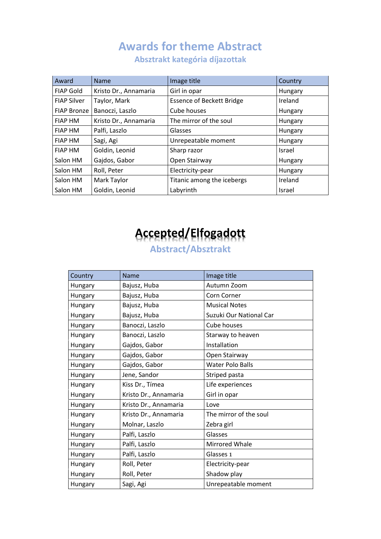### **Awards for theme Abstract**

Award Name Image title Country FIAP Gold | Kristo Dr., Annamaria | Girl in opar | Hungary | Hungary FIAP Silver | Taylor, Mark | Essence of Beckett Bridge | Ireland FIAP Bronze Banoczi, Laszlo Cube houses Cube Hungary FIAP HM  $\vert$  Kristo Dr., Annamaria  $\vert$  The mirror of the soul  $\vert$  Hungary FIAP HM Palfi, Laszlo Glasses | Glasses | Hungary FIAP HM Sagi, Agi  $|$ Unrepeatable moment | Hungary FIAP HM Goldin, Leonid Sharp razor Israel Salon HM Gajdos, Gabor | Open Stairway | Hungary Salon HM Roll, Peter **Electricity-pear** Electricity-pear **Hungary** Salon HM  $\parallel$  Mark Taylor  $\parallel$  Titanic among the icebergs  $\parallel$  Ireland Salon HM Goldin, Leonid Labyrinth Israel

**Absztrakt kategória díjazottak**

# **Accepted/Elfogadott**

#### **Abstract/Absztrakt**

| Country | Name                  | Image title             |
|---------|-----------------------|-------------------------|
| Hungary | Bajusz, Huba          | Autumn Zoom             |
| Hungary | Bajusz, Huba          | Corn Corner             |
| Hungary | Bajusz, Huba          | <b>Musical Notes</b>    |
| Hungary | Bajusz, Huba          | Suzuki Our National Car |
| Hungary | Banoczi, Laszlo       | Cube houses             |
| Hungary | Banoczi, Laszlo       | Starway to heaven       |
| Hungary | Gajdos, Gabor         | Installation            |
| Hungary | Gajdos, Gabor         | Open Stairway           |
| Hungary | Gajdos, Gabor         | Water Polo Balls        |
| Hungary | Jene, Sandor          | Striped pasta           |
| Hungary | Kiss Dr., Tímea       | Life experiences        |
| Hungary | Kristo Dr., Annamaria | Girl in opar            |
| Hungary | Kristo Dr., Annamaria | Love                    |
| Hungary | Kristo Dr., Annamaria | The mirror of the soul  |
| Hungary | Molnar, Laszlo        | Zebra girl              |
| Hungary | Palfi, Laszlo         | Glasses                 |
| Hungary | Palfi, Laszlo         | Mirrored Whale          |
| Hungary | Palfi, Laszlo         | Glasses 1               |
| Hungary | Roll, Peter           | Electricity-pear        |
| Hungary | Roll, Peter           | Shadow play             |
| Hungary | Sagi, Agi             | Unrepeatable moment     |